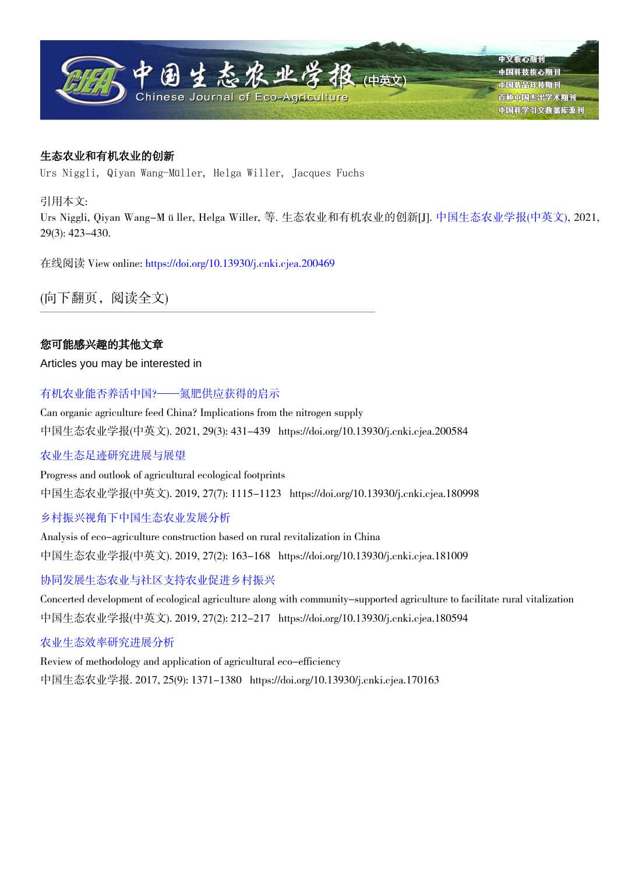

# 生态农业和有机农业的创新

Urs Niggli, Qiyan Wang-Müller, Helga Willer, Jacques Fuchs

引用本文:

Urs Niggli, Qiyan Wang-Müller, Helga Willer, 等. 生态农业和有机农业的创新[J]. [中国生态农业学报\(中英文\)](http://www.ecoagri.ac.cn), 2021, 29(3): 423-430.

在线阅读 View online: [https://doi.org/10.13930/j.cnki.cjea.200469](http://www.ecoagri.ac.cn/zgstny/ch/reader/view_abstract.aspx?doi=10.13930/j.cnki.cjea.200469)

(向下翻页,阅读全文)

# 您可能感兴趣的其他文章

Articles you may be interested in

# [有机农业能否养活中国?——氮肥供应获得的启示](http://www.ecoagri.ac.cn/zgstny/ch/reader/view_abstract.aspx?doi=10.13930/j.cnki.cjea.200584)

Can organic agriculture feed China? Implications from the nitrogen supply 中国生态农业学报(中英文). 2021, 29(3): 431-439 https://doi.org/10.13930/j.cnki.cjea.200584

# [农业生态足迹研究进展与展望](http://www.ecoagri.ac.cn/zgstny/ch/reader/view_abstract.aspx?doi=10.13930/j.cnki.cjea.180998)

Progress and outlook of agricultural ecological footprints 中国生态农业学报(中英文). 2019, 27(7): 1115-1123 https://doi.org/10.13930/j.cnki.cjea.180998

# [乡村振兴视角下中国生态农业发展分析](http://www.ecoagri.ac.cn/zgstny/ch/reader/view_abstract.aspx?doi=10.13930/j.cnki.cjea.181009)

Analysis of eco-agriculture construction based on rural revitalization in China 中国生态农业学报(中英文). 2019, 27(2): 163-168 https://doi.org/10.13930/j.cnki.cjea.181009

# [协同发展生态农业与社区支持农业促进乡村振兴](http://www.ecoagri.ac.cn/zgstny/ch/reader/view_abstract.aspx?doi=10.13930/j.cnki.cjea.180594)

Concerted development of ecological agriculture along with community-supported agriculture to facilitate rural vitalization 中国生态农业学报(中英文). 2019, 27(2): 212-217 https://doi.org/10.13930/j.cnki.cjea.180594

# [农业生态效率研究进展分析](http://www.ecoagri.ac.cn/zgstny/ch/reader/view_abstract.aspx?doi=10.13930/j.cnki.cjea.170163)

Review of methodology and application of agricultural eco-efficiency 中国生态农业学报. 2017, 25(9): 1371-1380 https://doi.org/10.13930/j.cnki.cjea.170163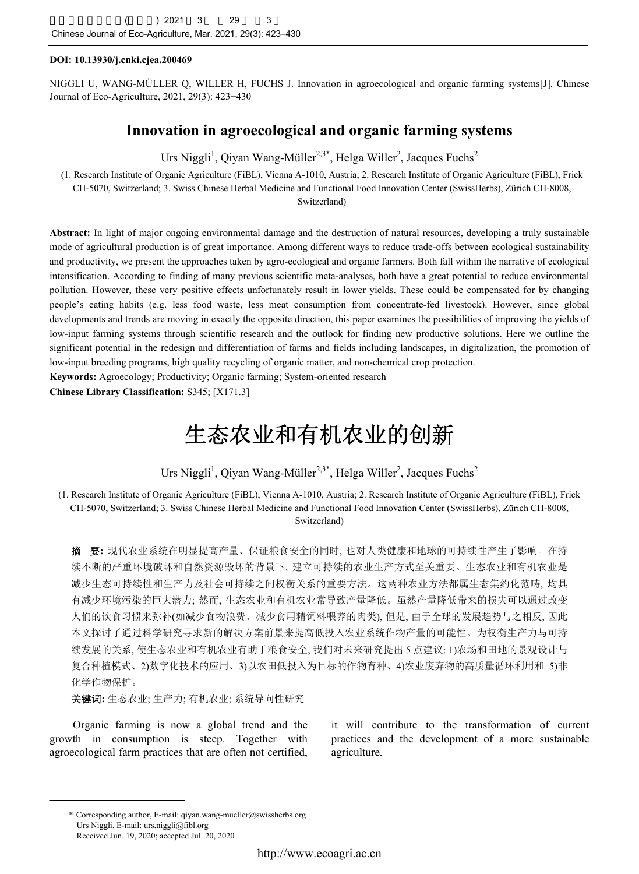#### **DOI: 10.13930/j.cnki.cjea.200469**

NIGGLI U, WANG-MÜLLER Q, WILLER H, FUCHS J. Innovation in agroecological and organic farming systems[J]. Chinese Journal of Eco-Agriculture, 2021, 29(3): 423−430

# **Innovation in agroecological and organic farming systems**

Urs Niggli<sup>1</sup>, Qiyan Wang-Müller<sup>2,3\*</sup>, Helga Willer<sup>2</sup>, Jacques Fuchs<sup>2</sup>

(1. Research Institute of Organic Agriculture (FiBL), Vienna A-1010, Austria; 2. Research Institute of Organic Agriculture (FiBL), Frick CH-5070, Switzerland; 3. Swiss Chinese Herbal Medicine and Functional Food Innovation Center (SwissHerbs), Zürich CH-8008, Switzerland)

**Abstract:** In light of major ongoing environmental damage and the destruction of natural resources, developing a truly sustainable mode of agricultural production is of great importance. Among different ways to reduce trade-offs between ecological sustainability and productivity, we present the approaches taken by agro-ecological and organic farmers. Both fall within the narrative of ecological intensification. According to finding of many previous scientific meta-analyses, both have a great potential to reduce environmental pollution. However, these very positive effects unfortunately result in lower yields. These could be compensated for by changing people's eating habits (e.g. less food waste, less meat consumption from concentrate-fed livestock). However, since global developments and trends are moving in exactly the opposite direction, this paper examines the possibilities of improving the yields of low-input farming systems through scientific research and the outlook for finding new productive solutions. Here we outline the significant potential in the redesign and differentiation of farms and fields including landscapes, in digitalization, the promotion of low-input breeding programs, high quality recycling of organic matter, and non-chemical crop protection.

**Keywords:** Agroecology; Productivity; Organic farming; System-oriented research

**Chinese Library Classification:** S345; [X171.3]

# 生态农业和有机农业的创新

Urs Niggli<sup>1</sup>, Qiyan Wang-Müller<sup>2,3\*</sup>, Helga Willer<sup>2</sup>, Jacques Fuchs<sup>2</sup>

(1. Research Institute of Organic Agriculture (FiBL), Vienna A-1010, Austria; 2. Research Institute of Organic Agriculture (FiBL), Frick CH-5070, Switzerland; 3. Swiss Chinese Herbal Medicine and Functional Food Innovation Center (SwissHerbs), Zürich CH-8008, Switzerland)

摘要**:** 现代农业系统在明显提高产量、保证粮食安全的同时, 也对人类健康和地球的可持续性产生了影响。在持 续不断的严重环境破坏和自然资源毁坏的背景下, 建立可持续的农业生产方式至关重要。生态农业和有机农业是 减少生态可持续性和生产力及社会可持续之间权衡关系的重要方法。这两种农业方法都属生态集约化范畴, 均具 有减少环境污染的巨大潜力; 然而, 生态农业和有机农业常导致产量降低。虽然产量降低带来的损失可以通过改变 人们的饮食习惯来弥补(如减少食物浪费、减少食用精饲料喂养的肉类), 但是, 由于全球的发展趋势与之相反, 因此 本文探讨了通过科学研究寻求新的解决方案前景来提高低投入农业系统作物产量的可能性。为权衡生产力与可持 续发展的关系, 使生态农业和有机农业有助于粮食安全, 我们对未来研究提出 5 点建议: 1)农场和田地的景观设计与 复合种植模式、2)数字化技术的应用、3)以农田低投入为目标的作物育种、4)农业废弃物的高质量循环利用和 5)非 化学作物保护。

关键词**:** 生态农业; 生产力; 有机农业; 系统导向性研究

Organic farming is now a global trend and the growth in consumption is steep. Together with agroecological farm practices that are often not certified,

it will contribute to the transformation of current practices and the development of a more sustainable agriculture.

<sup>\*</sup> Corresponding author, E-mail: qiyan.wang-mueller@swissherbs.org Urs Niggli, E-mail: urs.niggli@fibl.org Received Jun. 19, 2020; accepted Jul. 20, 2020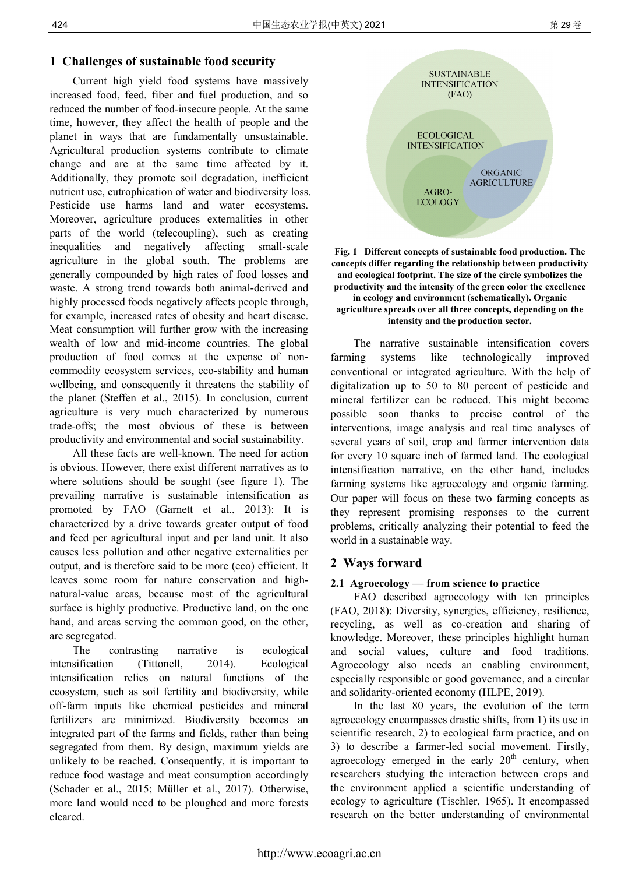# **1 Challenges of sustainable food security**

Current high yield food systems have massively increased food, feed, fiber and fuel production, and so reduced the number of food-insecure people. At the same time, however, they affect the health of people and the planet in ways that are fundamentally unsustainable. Agricultural production systems contribute to climate change and are at the same time affected by it. Additionally, they promote soil degradation, inefficient nutrient use, eutrophication of water and biodiversity loss. Pesticide use harms land and water ecosystems. Moreover, agriculture produces externalities in other parts of the world (telecoupling), such as creating inequalities and negatively affecting small-scale agriculture in the global south. The problems are generally compounded by high rates of food losses and waste. A strong trend towards both animal-derived and highly processed foods negatively affects people through, for example, increased rates of obesity and heart disease. Meat consumption will further grow with the increasing wealth of low and mid-income countries. The global production of food comes at the expense of noncommodity ecosystem services, eco-stability and human wellbeing, and consequently it threatens the stability of the planet (Steffen et al., 2015). In conclusion, current agriculture is very much characterized by numerous trade-offs; the most obvious of these is between productivity and environmental and social sustainability.

All these facts are well-known. The need for action is obvious. However, there exist different narratives as to where solutions should be sought (see figure 1). The prevailing narrative is sustainable intensification as promoted by FAO (Garnett et al., 2013): It is characterized by a drive towards greater output of food and feed per agricultural input and per land unit. It also causes less pollution and other negative externalities per output, and is therefore said to be more (eco) efficient. It leaves some room for nature conservation and highnatural-value areas, because most of the agricultural surface is highly productive. Productive land, on the one hand, and areas serving the common good, on the other, are segregated.

The contrasting narrative is ecological intensification (Tittonell, 2014). Ecological intensification relies on natural functions of the ecosystem, such as soil fertility and biodiversity, while off-farm inputs like chemical pesticides and mineral fertilizers are minimized. Biodiversity becomes an integrated part of the farms and fields, rather than being segregated from them. By design, maximum yields are unlikely to be reached. Consequently, it is important to reduce food wastage and meat consumption accordingly (Schader et al., 2015; Müller et al., 2017). Otherwise, more land would need to be ploughed and more forests cleared.



**Fig. 1 Different concepts of sustainable food production. The concepts differ regarding the relationship between productivity and ecological footprint. The size of the circle symbolizes the productivity and the intensity of the green color the excellence in ecology and environment (schematically). Organic agriculture spreads over all three concepts, depending on the intensity and the production sector.** 

The narrative sustainable intensification covers farming systems like technologically improved conventional or integrated agriculture. With the help of digitalization up to 50 to 80 percent of pesticide and mineral fertilizer can be reduced. This might become possible soon thanks to precise control of the interventions, image analysis and real time analyses of several years of soil, crop and farmer intervention data for every 10 square inch of farmed land. The ecological intensification narrative, on the other hand, includes farming systems like agroecology and organic farming. Our paper will focus on these two farming concepts as they represent promising responses to the current problems, critically analyzing their potential to feed the world in a sustainable way.

# **2 Ways forward**

# **2.1 Agroecology — from science to practice**

FAO described agroecology with ten principles (FAO, 2018): Diversity, synergies, efficiency, resilience, recycling, as well as co-creation and sharing of knowledge. Moreover, these principles highlight human and social values, culture and food traditions. Agroecology also needs an enabling environment, especially responsible or good governance, and a circular and solidarity-oriented economy (HLPE, 2019).

In the last 80 years, the evolution of the term agroecology encompasses drastic shifts, from 1) its use in scientific research, 2) to ecological farm practice, and on 3) to describe a farmer-led social movement. Firstly, agroecology emerged in the early  $20<sup>th</sup>$  century, when researchers studying the interaction between crops and the environment applied a scientific understanding of ecology to agriculture (Tischler, 1965). It encompassed research on the better understanding of environmental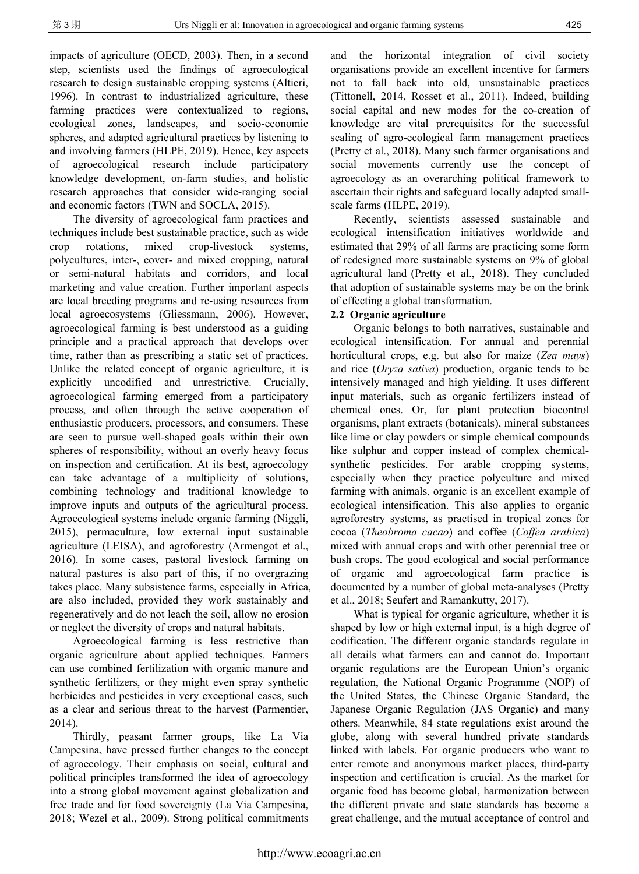impacts of agriculture (OECD, 2003). Then, in a second step, scientists used the findings of agroecological research to design sustainable cropping systems (Altieri, 1996). In contrast to industrialized agriculture, these farming practices were contextualized to regions, ecological zones, landscapes, and socio-economic spheres, and adapted agricultural practices by listening to and involving farmers (HLPE, 2019). Hence, key aspects of agroecological research include participatory knowledge development, on-farm studies, and holistic research approaches that consider wide-ranging social and economic factors (TWN and SOCLA, 2015).

The diversity of agroecological farm practices and techniques include best sustainable practice, such as wide crop rotations, mixed crop-livestock systems, polycultures, inter-, cover- and mixed cropping, natural or semi-natural habitats and corridors, and local marketing and value creation. Further important aspects are local breeding programs and re-using resources from local agroecosystems (Gliessmann, 2006). However, agroecological farming is best understood as a guiding principle and a practical approach that develops over time, rather than as prescribing a static set of practices. Unlike the related concept of organic agriculture, it is explicitly uncodified and unrestrictive. Crucially, agroecological farming emerged from a participatory process, and often through the active cooperation of enthusiastic producers, processors, and consumers. These are seen to pursue well-shaped goals within their own spheres of responsibility, without an overly heavy focus on inspection and certification. At its best, agroecology can take advantage of a multiplicity of solutions, combining technology and traditional knowledge to improve inputs and outputs of the agricultural process. Agroecological systems include organic farming (Niggli, 2015), permaculture, low external input sustainable agriculture (LEISA), and agroforestry (Armengot et al., 2016). In some cases, pastoral livestock farming on natural pastures is also part of this, if no overgrazing takes place. Many subsistence farms, especially in Africa, are also included, provided they work sustainably and regeneratively and do not leach the soil, allow no erosion or neglect the diversity of crops and natural habitats.

Agroecological farming is less restrictive than organic agriculture about applied techniques. Farmers can use combined fertilization with organic manure and synthetic fertilizers, or they might even spray synthetic herbicides and pesticides in very exceptional cases, such as a clear and serious threat to the harvest (Parmentier, 2014).

Thirdly, peasant farmer groups, like La Via Campesina, have pressed further changes to the concept of agroecology. Their emphasis on social, cultural and political principles transformed the idea of agroecology into a strong global movement against globalization and free trade and for food sovereignty (La Via Campesina, 2018; Wezel et al., 2009). Strong political commitments

and the horizontal integration of civil society organisations provide an excellent incentive for farmers not to fall back into old, unsustainable practices (Tittonell, 2014, Rosset et al., 2011). Indeed, building social capital and new modes for the co-creation of knowledge are vital prerequisites for the successful scaling of agro-ecological farm management practices (Pretty et al., 2018). Many such farmer organisations and social movements currently use the concept of agroecology as an overarching political framework to ascertain their rights and safeguard locally adapted smallscale farms (HLPE, 2019).

Recently, scientists assessed sustainable and ecological intensification initiatives worldwide and estimated that 29% of all farms are practicing some form of redesigned more sustainable systems on 9% of global agricultural land (Pretty et al., 2018). They concluded that adoption of sustainable systems may be on the brink of effecting a global transformation.

#### **2.2 Organic agriculture**

Organic belongs to both narratives, sustainable and ecological intensification. For annual and perennial horticultural crops, e.g. but also for maize (*Zea mays*) and rice (*Oryza sativa*) production, organic tends to be intensively managed and high yielding. It uses different input materials, such as organic fertilizers instead of chemical ones. Or, for plant protection biocontrol organisms, plant extracts (botanicals), mineral substances like lime or clay powders or simple chemical compounds like sulphur and copper instead of complex chemicalsynthetic pesticides. For arable cropping systems, especially when they practice polyculture and mixed farming with animals, organic is an excellent example of ecological intensification. This also applies to organic agroforestry systems, as practised in tropical zones for cocoa (*Theobroma cacao*) and coffee (*Coffea arabica*) mixed with annual crops and with other perennial tree or bush crops. The good ecological and social performance of organic and agroecological farm practice is documented by a number of global meta-analyses (Pretty et al., 2018; Seufert and Ramankutty, 2017).

What is typical for organic agriculture, whether it is shaped by low or high external input, is a high degree of codification. The different organic standards regulate in all details what farmers can and cannot do. Important organic regulations are the European Union's organic regulation, the National Organic Programme (NOP) of the United States, the Chinese Organic Standard, the Japanese Organic Regulation (JAS Organic) and many others. Meanwhile, 84 state regulations exist around the globe, along with several hundred private standards linked with labels. For organic producers who want to enter remote and anonymous market places, third-party inspection and certification is crucial. As the market for organic food has become global, harmonization between the different private and state standards has become a great challenge, and the mutual acceptance of control and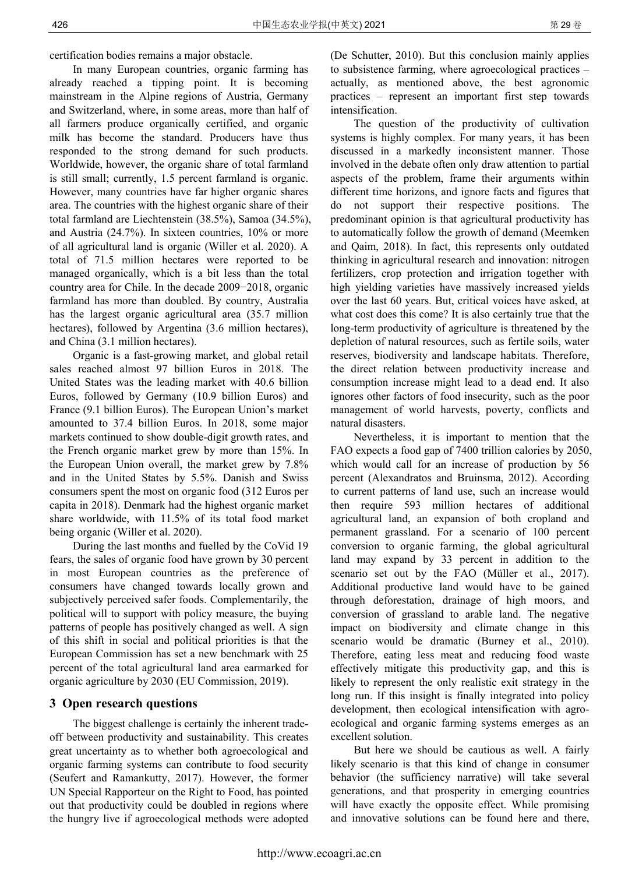certification bodies remains a major obstacle.

In many European countries, organic farming has already reached a tipping point. It is becoming mainstream in the Alpine regions of Austria, Germany and Switzerland, where, in some areas, more than half of all farmers produce organically certified, and organic milk has become the standard. Producers have thus responded to the strong demand for such products. Worldwide, however, the organic share of total farmland is still small; currently, 1.5 percent farmland is organic. However, many countries have far higher organic shares area. The countries with the highest organic share of their total farmland are Liechtenstein (38.5%), Samoa (34.5%), and Austria (24.7%). In sixteen countries, 10% or more of all agricultural land is organic (Willer et al. 2020). A total of 71.5 million hectares were reported to be managed organically, which is a bit less than the total country area for Chile. In the decade 2009−2018, organic farmland has more than doubled. By country, Australia has the largest organic agricultural area (35.7 million hectares), followed by Argentina (3.6 million hectares), and China (3.1 million hectares).

Organic is a fast-growing market, and global retail sales reached almost 97 billion Euros in 2018. The United States was the leading market with 40.6 billion Euros, followed by Germany (10.9 billion Euros) and France (9.1 billion Euros). The European Union's market amounted to 37.4 billion Euros. In 2018, some major markets continued to show double-digit growth rates, and the French organic market grew by more than 15%. In the European Union overall, the market grew by 7.8% and in the United States by 5.5%. Danish and Swiss consumers spent the most on organic food (312 Euros per capita in 2018). Denmark had the highest organic market share worldwide, with 11.5% of its total food market being organic (Willer et al. 2020).

During the last months and fuelled by the CoVid 19 fears, the sales of organic food have grown by 30 percent in most European countries as the preference of consumers have changed towards locally grown and subjectively perceived safer foods. Complementarily, the political will to support with policy measure, the buying patterns of people has positively changed as well. A sign of this shift in social and political priorities is that the European Commission has set a new benchmark with 25 percent of the total agricultural land area earmarked for organic agriculture by 2030 (EU Commission, 2019).

#### **3 Open research questions**

The biggest challenge is certainly the inherent tradeoff between productivity and sustainability. This creates great uncertainty as to whether both agroecological and organic farming systems can contribute to food security (Seufert and Ramankutty, 2017). However, the former UN Special Rapporteur on the Right to Food, has pointed out that productivity could be doubled in regions where the hungry live if agroecological methods were adopted (De Schutter, 2010). But this conclusion mainly applies to subsistence farming, where agroecological practices – actually, as mentioned above, the best agronomic practices – represent an important first step towards intensification.

The question of the productivity of cultivation systems is highly complex. For many years, it has been discussed in a markedly inconsistent manner. Those involved in the debate often only draw attention to partial aspects of the problem, frame their arguments within different time horizons, and ignore facts and figures that do not support their respective positions. The predominant opinion is that agricultural productivity has to automatically follow the growth of demand (Meemken and Qaim, 2018). In fact, this represents only outdated thinking in agricultural research and innovation: nitrogen fertilizers, crop protection and irrigation together with high yielding varieties have massively increased yields over the last 60 years. But, critical voices have asked, at what cost does this come? It is also certainly true that the long-term productivity of agriculture is threatened by the depletion of natural resources, such as fertile soils, water reserves, biodiversity and landscape habitats. Therefore, the direct relation between productivity increase and consumption increase might lead to a dead end. It also ignores other factors of food insecurity, such as the poor management of world harvests, poverty, conflicts and natural disasters.

Nevertheless, it is important to mention that the FAO expects a food gap of 7400 trillion calories by 2050, which would call for an increase of production by 56 percent (Alexandratos and Bruinsma, 2012). According to current patterns of land use, such an increase would then require 593 million hectares of additional agricultural land, an expansion of both cropland and permanent grassland. For a scenario of 100 percent conversion to organic farming, the global agricultural land may expand by 33 percent in addition to the scenario set out by the FAO (Müller et al., 2017). Additional productive land would have to be gained through deforestation, drainage of high moors, and conversion of grassland to arable land. The negative impact on biodiversity and climate change in this scenario would be dramatic (Burney et al., 2010). Therefore, eating less meat and reducing food waste effectively mitigate this productivity gap, and this is likely to represent the only realistic exit strategy in the long run. If this insight is finally integrated into policy development, then ecological intensification with agroecological and organic farming systems emerges as an excellent solution.

But here we should be cautious as well. A fairly likely scenario is that this kind of change in consumer behavior (the sufficiency narrative) will take several generations, and that prosperity in emerging countries will have exactly the opposite effect. While promising and innovative solutions can be found here and there,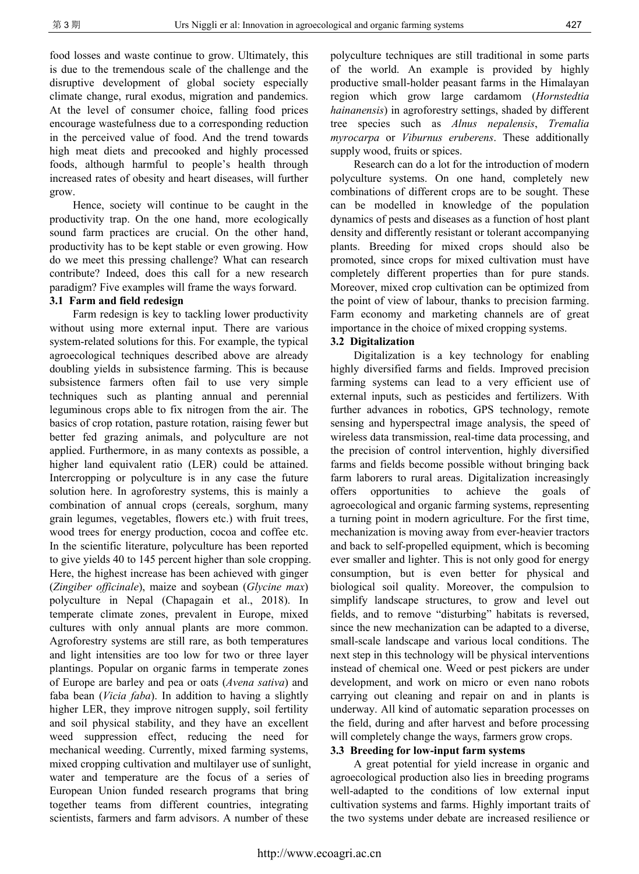food losses and waste continue to grow. Ultimately, this is due to the tremendous scale of the challenge and the disruptive development of global society especially climate change, rural exodus, migration and pandemics. At the level of consumer choice, falling food prices encourage wastefulness due to a corresponding reduction in the perceived value of food. And the trend towards high meat diets and precooked and highly processed foods, although harmful to people's health through increased rates of obesity and heart diseases, will further grow.

Hence, society will continue to be caught in the productivity trap. On the one hand, more ecologically sound farm practices are crucial. On the other hand, productivity has to be kept stable or even growing. How do we meet this pressing challenge? What can research contribute? Indeed, does this call for a new research paradigm? Five examples will frame the ways forward.

#### **3.1 Farm and field redesign**

Farm redesign is key to tackling lower productivity without using more external input. There are various system-related solutions for this. For example, the typical agroecological techniques described above are already doubling yields in subsistence farming. This is because subsistence farmers often fail to use very simple techniques such as planting annual and perennial leguminous crops able to fix nitrogen from the air. The basics of crop rotation, pasture rotation, raising fewer but better fed grazing animals, and polyculture are not applied. Furthermore, in as many contexts as possible, a higher land equivalent ratio (LER) could be attained. Intercropping or polyculture is in any case the future solution here. In agroforestry systems, this is mainly a combination of annual crops (cereals, sorghum, many grain legumes, vegetables, flowers etc.) with fruit trees, wood trees for energy production, cocoa and coffee etc. In the scientific literature, polyculture has been reported to give yields 40 to 145 percent higher than sole cropping. Here, the highest increase has been achieved with ginger (*Zingiber officinale*), maize and soybean (*Glycine max*) polyculture in Nepal (Chapagain et al., 2018). In temperate climate zones, prevalent in Europe, mixed cultures with only annual plants are more common. Agroforestry systems are still rare, as both temperatures and light intensities are too low for two or three layer plantings. Popular on organic farms in temperate zones of Europe are barley and pea or oats (*Avena sativa*) and faba bean (*Vicia faba*). In addition to having a slightly higher LER, they improve nitrogen supply, soil fertility and soil physical stability, and they have an excellent weed suppression effect, reducing the need for mechanical weeding. Currently, mixed farming systems, mixed cropping cultivation and multilayer use of sunlight, water and temperature are the focus of a series of European Union funded research programs that bring together teams from different countries, integrating scientists, farmers and farm advisors. A number of these

polyculture techniques are still traditional in some parts of the world. An example is provided by highly productive small-holder peasant farms in the Himalayan region which grow large cardamom (*Hornstedtia hainanensis*) in agroforestry settings, shaded by different tree species such as *Alnus nepalensis*, *Tremalia myrocarpa* or *Viburnus eruberens*. These additionally supply wood, fruits or spices.

Research can do a lot for the introduction of modern polyculture systems. On one hand, completely new combinations of different crops are to be sought. These can be modelled in knowledge of the population dynamics of pests and diseases as a function of host plant density and differently resistant or tolerant accompanying plants. Breeding for mixed crops should also be promoted, since crops for mixed cultivation must have completely different properties than for pure stands. Moreover, mixed crop cultivation can be optimized from the point of view of labour, thanks to precision farming. Farm economy and marketing channels are of great importance in the choice of mixed cropping systems.

#### **3.2 Digitalization**

Digitalization is a key technology for enabling highly diversified farms and fields. Improved precision farming systems can lead to a very efficient use of external inputs, such as pesticides and fertilizers. With further advances in robotics, GPS technology, remote sensing and hyperspectral image analysis, the speed of wireless data transmission, real-time data processing, and the precision of control intervention, highly diversified farms and fields become possible without bringing back farm laborers to rural areas. Digitalization increasingly offers opportunities to achieve the goals of agroecological and organic farming systems, representing a turning point in modern agriculture. For the first time, mechanization is moving away from ever-heavier tractors and back to self-propelled equipment, which is becoming ever smaller and lighter. This is not only good for energy consumption, but is even better for physical and biological soil quality. Moreover, the compulsion to simplify landscape structures, to grow and level out fields, and to remove "disturbing" habitats is reversed, since the new mechanization can be adapted to a diverse, small-scale landscape and various local conditions. The next step in this technology will be physical interventions instead of chemical one. Weed or pest pickers are under development, and work on micro or even nano robots carrying out cleaning and repair on and in plants is underway. All kind of automatic separation processes on the field, during and after harvest and before processing will completely change the ways, farmers grow crops.

#### **3.3 Breeding for low-input farm systems**

A great potential for yield increase in organic and agroecological production also lies in breeding programs well-adapted to the conditions of low external input cultivation systems and farms. Highly important traits of the two systems under debate are increased resilience or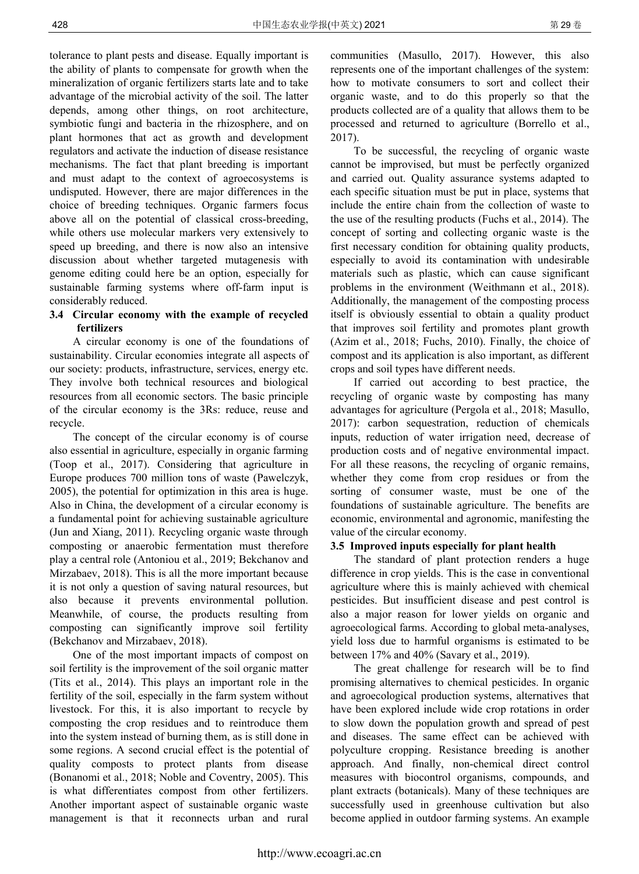tolerance to plant pests and disease. Equally important is the ability of plants to compensate for growth when the mineralization of organic fertilizers starts late and to take advantage of the microbial activity of the soil. The latter depends, among other things, on root architecture, symbiotic fungi and bacteria in the rhizosphere, and on plant hormones that act as growth and development regulators and activate the induction of disease resistance mechanisms. The fact that plant breeding is important and must adapt to the context of agroecosystems is undisputed. However, there are major differences in the choice of breeding techniques. Organic farmers focus above all on the potential of classical cross-breeding, while others use molecular markers very extensively to speed up breeding, and there is now also an intensive discussion about whether targeted mutagenesis with genome editing could here be an option, especially for sustainable farming systems where off-farm input is

# **3.4 Circular economy with the example of recycled fertilizers**

considerably reduced.

A circular economy is one of the foundations of sustainability. Circular economies integrate all aspects of our society: products, infrastructure, services, energy etc. They involve both technical resources and biological resources from all economic sectors. The basic principle of the circular economy is the 3Rs: reduce, reuse and recycle.

The concept of the circular economy is of course also essential in agriculture, especially in organic farming (Toop et al., 2017). Considering that agriculture in Europe produces 700 million tons of waste (Pawelczyk, 2005), the potential for optimization in this area is huge. Also in China, the development of a circular economy is a fundamental point for achieving sustainable agriculture (Jun and Xiang, 2011). Recycling organic waste through composting or anaerobic fermentation must therefore play a central role (Antoniou et al., 2019; Bekchanov and Mirzabaev, 2018). This is all the more important because it is not only a question of saving natural resources, but also because it prevents environmental pollution. Meanwhile, of course, the products resulting from composting can significantly improve soil fertility (Bekchanov and Mirzabaev, 2018).

One of the most important impacts of compost on soil fertility is the improvement of the soil organic matter (Tits et al., 2014). This plays an important role in the fertility of the soil, especially in the farm system without livestock. For this, it is also important to recycle by composting the crop residues and to reintroduce them into the system instead of burning them, as is still done in some regions. A second crucial effect is the potential of quality composts to protect plants from disease (Bonanomi et al., 2018; Noble and Coventry, 2005). This is what differentiates compost from other fertilizers. Another important aspect of sustainable organic waste management is that it reconnects urban and rural

communities (Masullo, 2017). However, this also represents one of the important challenges of the system: how to motivate consumers to sort and collect their organic waste, and to do this properly so that the products collected are of a quality that allows them to be processed and returned to agriculture (Borrello et al., 2017).

To be successful, the recycling of organic waste cannot be improvised, but must be perfectly organized and carried out. Quality assurance systems adapted to each specific situation must be put in place, systems that include the entire chain from the collection of waste to the use of the resulting products (Fuchs et al., 2014). The concept of sorting and collecting organic waste is the first necessary condition for obtaining quality products, especially to avoid its contamination with undesirable materials such as plastic, which can cause significant problems in the environment (Weithmann et al., 2018). Additionally, the management of the composting process itself is obviously essential to obtain a quality product that improves soil fertility and promotes plant growth (Azim et al., 2018; Fuchs, 2010). Finally, the choice of compost and its application is also important, as different crops and soil types have different needs.

If carried out according to best practice, the recycling of organic waste by composting has many advantages for agriculture (Pergola et al., 2018; Masullo, 2017): carbon sequestration, reduction of chemicals inputs, reduction of water irrigation need, decrease of production costs and of negative environmental impact. For all these reasons, the recycling of organic remains, whether they come from crop residues or from the sorting of consumer waste, must be one of the foundations of sustainable agriculture. The benefits are economic, environmental and agronomic, manifesting the value of the circular economy.

#### **3.5 Improved inputs especially for plant health**

The standard of plant protection renders a huge difference in crop yields. This is the case in conventional agriculture where this is mainly achieved with chemical pesticides. But insufficient disease and pest control is also a major reason for lower yields on organic and agroecological farms. According to global meta-analyses, yield loss due to harmful organisms is estimated to be between 17% and 40% (Savary et al., 2019).

The great challenge for research will be to find promising alternatives to chemical pesticides. In organic and agroecological production systems, alternatives that have been explored include wide crop rotations in order to slow down the population growth and spread of pest and diseases. The same effect can be achieved with polyculture cropping. Resistance breeding is another approach. And finally, non-chemical direct control measures with biocontrol organisms, compounds, and plant extracts (botanicals). Many of these techniques are successfully used in greenhouse cultivation but also become applied in outdoor farming systems. An example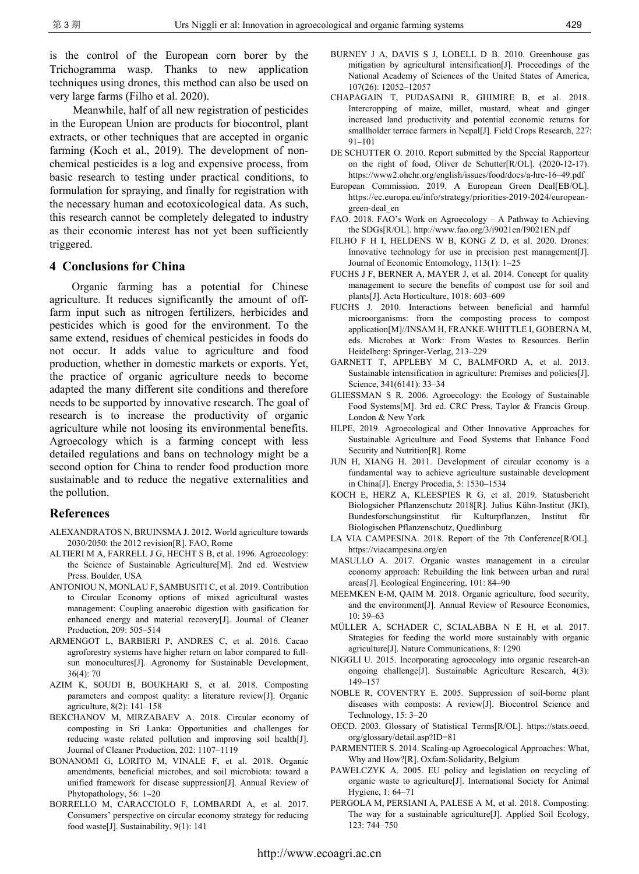is the control of the European corn borer by the Trichogramma wasp. Thanks to new application techniques using drones, this method can also be used on very large farms (Filho et al. 2020).

Meanwhile, half of all new registration of pesticides in the European Union are products for biocontrol, plant extracts, or other techniques that are accepted in organic farming (Koch et al., 2019). The development of nonchemical pesticides is a log and expensive process, from basic research to testing under practical conditions, to formulation for spraying, and finally for registration with the necessary human and ecotoxicological data. As such, this research cannot be completely delegated to industry as their economic interest has not yet been sufficiently triggered.

#### **4 Conclusions for China**

Organic farming has a potential for Chinese agriculture. It reduces significantly the amount of offfarm input such as nitrogen fertilizers, herbicides and pesticides which is good for the environment. To the same extend, residues of chemical pesticides in foods do not occur. It adds value to agriculture and food production, whether in domestic markets or exports. Yet, the practice of organic agriculture needs to become adapted the many different site conditions and therefore needs to be supported by innovative research. The goal of research is to increase the productivity of organic agriculture while not loosing its environmental benefits. Agroecology which is a farming concept with less detailed regulations and bans on technology might be a second option for China to render food production more sustainable and to reduce the negative externalities and the pollution.

#### **References**

- ALEXANDRATOS N, BRUINSMA J. 2012. World agriculture towards 2030/2050: the 2012 revision[R]. FAO, Rome
- ALTIERI M A, FARRELL J G, HECHT S B, et al. 1996. Agroecology: the Science of Sustainable Agriculture[M]. 2nd ed. Westview Press. Boulder, USA
- ANTONIOU N, MONLAU F, SAMBUSITI C, et al. 2019. Contribution to Circular Economy options of mixed agricultural wastes management: Coupling anaerobic digestion with gasification for enhanced energy and material recovery[J]. Journal of Cleaner Production, 209: 505–514
- ARMENGOT L, BARBIERI P, ANDRES C, et al. 2016. Cacao agroforestry systems have higher return on labor compared to fullsun monocultures[J]. Agronomy for Sustainable Development, 36(4): 70
- AZIM K, SOUDI B, BOUKHARI S, et al. 2018. Composting parameters and compost quality: a literature review[J]. Organic agriculture, 8(2): 141–158
- BEKCHANOV M, MIRZABAEV A. 2018. Circular economy of composting in Sri Lanka: Opportunities and challenges for reducing waste related pollution and improving soil health[J]. Journal of Cleaner Production, 202: 1107–1119
- BONANOMI G, LORITO M, VINALE F, et al. 2018. Organic amendments, beneficial microbes, and soil microbiota: toward a unified framework for disease suppression[J]. Annual Review of Phytopathology, 56: 1–20
- BORRELLO M, CARACCIOLO F, LOMBARDI A, et al. 2017. Consumers' perspective on circular economy strategy for reducing food waste[J]. Sustainability, 9(1): 141
- BURNEY J A, DAVIS S J, LOBELL D B. 2010. Greenhouse gas mitigation by agricultural intensification[J]. Proceedings of the National Academy of Sciences of the United States of America, 107(26): 12052–12057
- CHAPAGAIN T, PUDASAINI R, GHIMIRE B, et al. 2018. Intercropping of maize, millet, mustard, wheat and ginger increased land productivity and potential economic returns for smallholder terrace farmers in Nepal[J]. Field Crops Research, 227: 91–101
- DE SCHUTTER O. 2010. Report submitted by the Special Rapporteur on the right of food, Oliver de Schutter[R/OL]. (2020-12-17). https://www2.ohchr.org/english/issues/food/docs/a-hrc-16–49.pdf
- European Commission. 2019. A European Green Deal[EB/OL]. https://ec.europa.eu/info/strategy/priorities-2019-2024/europeangreen-deal\_en
- FAO. 2018. FAO's Work on Agroecology A Pathway to Achieving the SDGs[R/OL]. http://www.fao.org/3/i9021en/I9021EN.pdf
- FILHO F H I, HELDENS W B, KONG Z D, et al. 2020. Drones: Innovative technology for use in precision pest management[J]. Journal of Economic Entomology, 113(1): 1–25
- FUCHS J F, BERNER A, MAYER J, et al. 2014. Concept for quality management to secure the benefits of compost use for soil and plants[J]. Acta Horticulture, 1018: 603–609
- FUCHS J. 2010. Interactions between beneficial and harmful microorganisms: from the composting process to compost application[M]//INSAM H, FRANKE-WHITTLE I, GOBERNA M, eds. Microbes at Work: From Wastes to Resources. Berlin Heidelberg: Springer-Verlag, 213–229
- GARNETT T, APPLEBY M C, BALMFORD A, et al. 2013. Sustainable intensification in agriculture: Premises and policies[J]. Science, 341(6141): 33–34
- GLIESSMAN S R. 2006. Agroecology: the Ecology of Sustainable Food Systems[M]. 3rd ed. CRC Press, Taylor & Francis Group. London & New York
- HLPE, 2019. Agroecological and Other Innovative Approaches for Sustainable Agriculture and Food Systems that Enhance Food Security and Nutrition[R]. Rome
- JUN H, XIANG H. 2011. Development of circular economy is a fundamental way to achieve agriculture sustainable development in China[J]. Energy Procedia, 5: 1530–1534
- KOCH E, HERZ A, KLEESPIES R G, et al. 2019. Statusbericht Biologsicher Pflanzenschutz 2018[R]. Julius Kühn-Institut (JKI), Bundesforschungsinstitut für Kulturpflanzen, Institut für Biologischen Pflanzenschutz, Quedlinburg
- LA VIA CAMPESINA. 2018. Report of the 7th Conference[R/OL]. https://viacampesina.org/en
- MASULLO A. 2017. Organic wastes management in a circular economy approach: Rebuilding the link between urban and rural areas[J]. Ecological Engineering, 101: 84–90
- MEEMKEN E-M, QAIM M. 2018. Organic agriculture, food security, and the environment[J]. Annual Review of Resource Economics, 10: 39–63
- MÜLLER A, SCHADER C, SCIALABBA N E H, et al. 2017. Strategies for feeding the world more sustainably with organic agriculture[J]. Nature Communications, 8: 1290
- NIGGLI U. 2015. Incorporating agroecology into organic research-an ongoing challenge[J]. Sustainable Agriculture Research, 4(3): 149–157
- NOBLE R, COVENTRY E. 2005. Suppression of soil-borne plant diseases with composts: A review[J]. Biocontrol Science and Technology, 15: 3–20
- OECD. 2003. Glossary of Statistical Terms[R/OL]. https://stats.oecd. org/glossary/detail.asp?ID=81
- PARMENTIER S. 2014. Scaling-up Agroecological Approaches: What, Why and How?[R]. Oxfam-Solidarity, Belgium
- PAWELCZYK A. 2005. EU policy and legislation on recycling of organic waste to agriculture[J]. International Society for Animal Hygiene, 1: 64–71
- PERGOLA M, PERSIANI A, PALESE A M, et al. 2018. Composting: The way for a sustainable agriculture[J]. Applied Soil Ecology, 123: 744–750